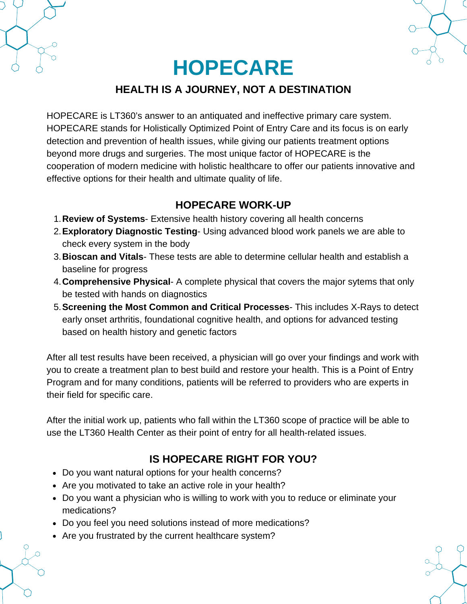**HOPECARE**

# **HEALTH IS A JOURNEY, NOT A DESTINATION**

HOPECARE is LT360's answer to an antiquated and ineffective primary care system. HOPECARE stands for Holistically Optimized Point of Entry Care and its focus is on early detection and prevention of health issues, while giving our patients treatment options beyond more drugs and surgeries. The most unique factor of HOPECARE is the cooperation of modern medicine with holistic healthcare to offer our patients innovative and effective options for their health and ultimate quality of life.

# **HOPECARE WORK-UP**

- **Review of Systems** Extensive health history covering all health concerns 1.
- **Exploratory Diagnostic Testing** Using advanced blood work panels we are able to 2. check every system in the body
- **Bioscan and Vitals** These tests are able to determine cellular health and establish a 3. baseline for progress
- **Comprehensive Physical** A complete physical that covers the major sytems that only 4. be tested with hands on diagnostics
- **Screening the Most Common and Critical Processes** This includes X-Rays to detect 5. early onset arthritis, foundational cognitive health, and options for advanced testing based on health history and genetic factors

After all test results have been received, a physician will go over your findings and work with you to create a treatment plan to best build and restore your health. This is a Point of Entry Program and for many conditions, patients will be referred to providers who are experts in their field for specific care.

After the initial work up, patients who fall within the LT360 scope of practice will be able to use the LT360 Health Center as their point of entry for all health-related issues.

# **IS HOPECARE RIGHT FOR YOU?**

- Do you want natural options for your health concerns?
- Are you motivated to take an active role in your health?
- Do you want a physician who is willing to work with you to reduce or eliminate your medications?
- Do you feel you need solutions instead of more medications?
- Are you frustrated by the current healthcare system?